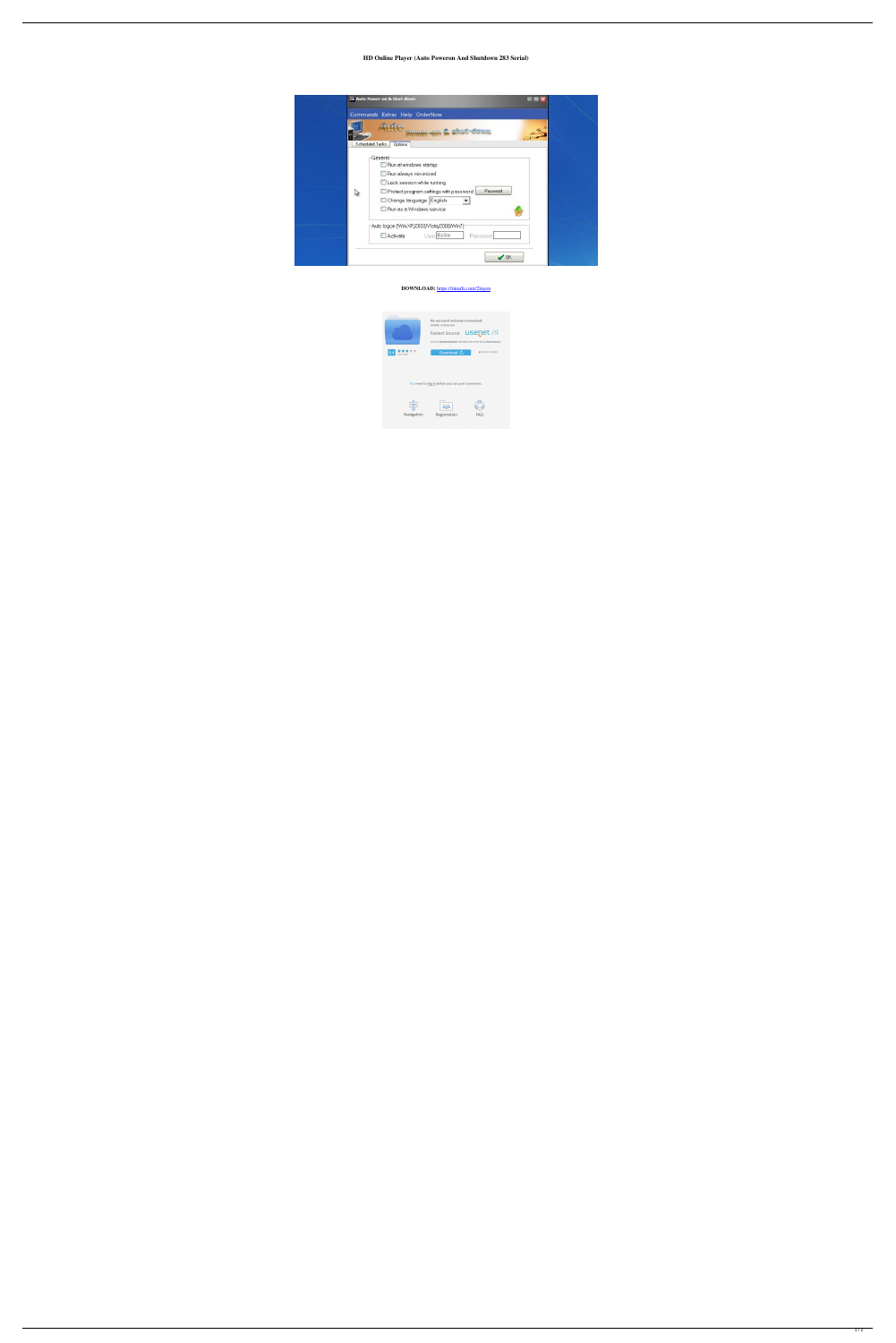## **HD Online Player (Auto Poweron And Shutdown 283 Serial)**

|   | Commands Extras Help OrderNow<br>4.46<br>Douglas & chut down |
|---|--------------------------------------------------------------|
|   | Scheduled Tasks<br>Options.                                  |
|   | General                                                      |
|   | Run at windows startup                                       |
|   | Run always minimized<br>Lock session while running           |
| V | Password<br>Protect program settings with password           |
|   | Change language English                                      |
|   | Run as a Windows service                                     |
|   | Auto logon (Win XP/2003/Vista/2008/Win7)                     |
|   | User: Bellini<br>Password.<br>Activate                       |

## **DOWNLOAD:** <https://tinurli.com/2inyen>